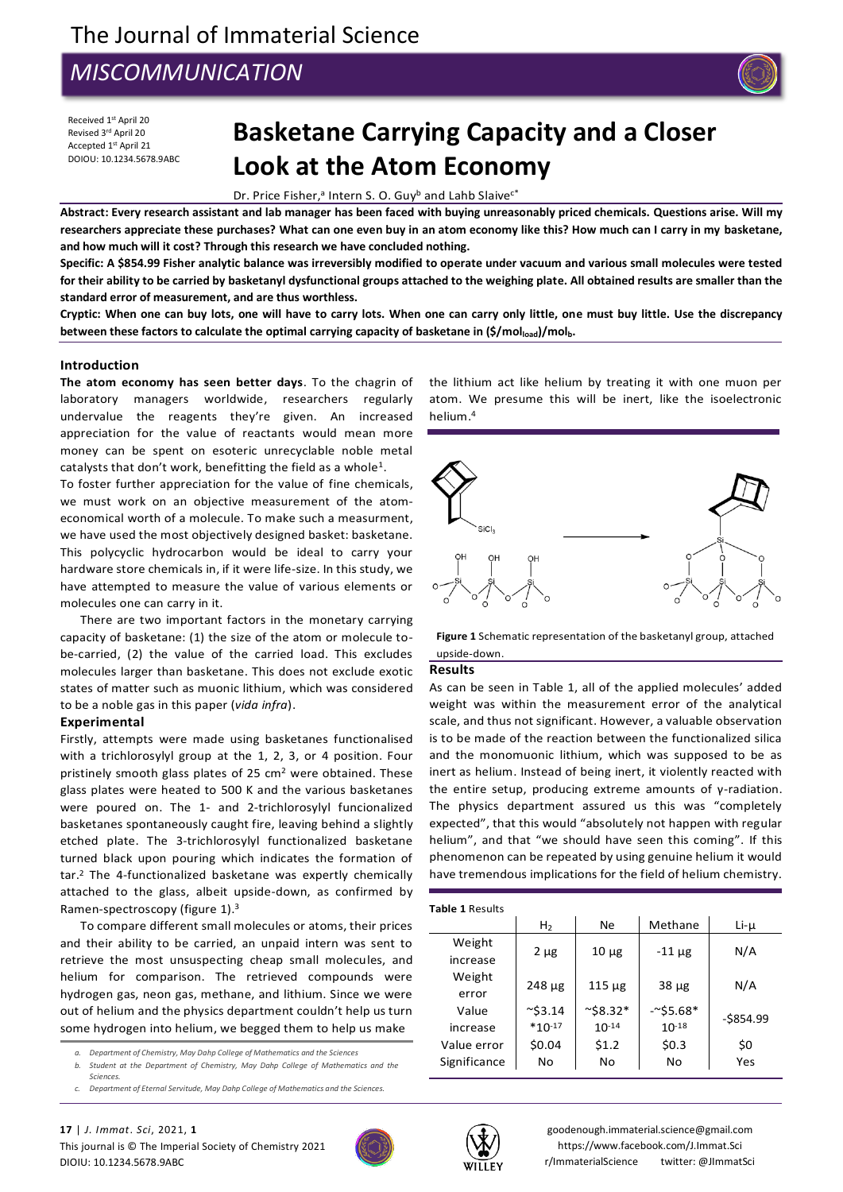# *MISCOMMUNICATION*



Received 1st April 20 Revised 3<sup>rd</sup> April 20 Accepted 1 st April 21 DOIOU: 10.1234.5678.9ABC

# **Basketane Carrying Capacity and a Closer Look at the Atom Economy**

Dr. Price Fisher,<sup>a</sup> Intern S. O. Guy<sup>b</sup> and Lahb Slaive<sup>c\*</sup>

**Abstract: Every research assistant and lab manager has been faced with buying unreasonably priced chemicals. Questions arise. Will my researchers appreciate these purchases? What can one even buy in an atom economy like this? How much can I carry in my basketane, and how much will it cost? Through this research we have concluded nothing.**

**Specific: A \$854.99 Fisher analytic balance was irreversibly modified to operate under vacuum and various small molecules were tested for their ability to be carried by basketanyl dysfunctional groups attached to the weighing plate. All obtained results are smaller than the standard error of measurement, and are thus worthless.**

**Cryptic: When one can buy lots, one will have to carry lots. When one can carry only little, one must buy little. Use the discrepancy between these factors to calculate the optimal carrying capacity of basketane in (\$/molload)/molb.**

#### **Introduction**

**The atom economy has seen better days**. To the chagrin of laboratory managers worldwide, researchers regularly undervalue the reagents they're given. An increased appreciation for the value of reactants would mean more money can be spent on esoteric unrecyclable noble metal catalysts that don't work, benefitting the field as a whole<sup>1</sup>.

To foster further appreciation for the value of fine chemicals, we must work on an objective measurement of the atomeconomical worth of a molecule. To make such a measurment, we have used the most objectively designed basket: basketane. This polycyclic hydrocarbon would be ideal to carry your hardware store chemicals in, if it were life-size. In this study, we have attempted to measure the value of various elements or molecules one can carry in it.

There are two important factors in the monetary carrying capacity of basketane: (1) the size of the atom or molecule tobe-carried, (2) the value of the carried load. This excludes molecules larger than basketane. This does not exclude exotic states of matter such as muonic lithium, which was considered to be a noble gas in this paper (*vida infra*).

#### **Experimental**

Firstly, attempts were made using basketanes functionalised with a trichlorosylyl group at the 1, 2, 3, or 4 position. Four pristinely smooth glass plates of 25 cm<sup>2</sup> were obtained. These glass plates were heated to 500 K and the various basketanes were poured on. The 1- and 2-trichlorosylyl funcionalized basketanes spontaneously caught fire, leaving behind a slightly etched plate. The 3-trichlorosylyl functionalized basketane turned black upon pouring which indicates the formation of tar. <sup>2</sup> The 4-functionalized basketane was expertly chemically attached to the glass, albeit upside-down, as confirmed by Ramen-spectroscopy (figure 1).<sup>3</sup>

To compare different small molecules or atoms, their prices and their ability to be carried, an unpaid intern was sent to retrieve the most unsuspecting cheap small molecules, and helium for comparison. The retrieved compounds were hydrogen gas, neon gas, methane, and lithium. Since we were out of helium and the physics department couldn't help us turn some hydrogen into helium, we begged them to help us make

- *a. Department of Chemistry, May Dahp College of Mathematics and the Sciences*
- *b. Student at the Department of Chemistry, May Dahp College of Mathematics and the Sciences.*
- *c. Department of Eternal Servitude, May Dahp College of Mathematics and the Sciences.*



the lithium act like helium by treating it with one muon per atom. We presume this will be inert, like the isoelectronic helium. 4



**Figure 1** Schematic representation of the basketanyl group, attached upside-down.

#### **Results**

As can be seen in Table 1, all of the applied molecules' added weight was within the measurement error of the analytical scale, and thus not significant. However, a valuable observation is to be made of the reaction between the functionalized silica and the monomuonic lithium, which was supposed to be as inert as helium. Instead of being inert, it violently reacted with the entire setup, producing extreme amounts of γ-radiation. The physics department assured us this was "completely expected", that this would "absolutely not happen with regular helium", and that "we should have seen this coming". If this phenomenon can be repeated by using genuine helium it would have tremendous implications for the field of helium chemistry.

| Table 1 Results |                   |                    |             |              |
|-----------------|-------------------|--------------------|-------------|--------------|
|                 | H <sub>2</sub>    | Ne                 | Methane     | $Li$ - $\mu$ |
| Weight          | $2 \mu g$         | $10 \mu$ g         | $-11 \mu g$ | N/A          |
| increase        |                   |                    |             |              |
| Weight          | $248 \mu g$       | $115 \mu$ g        | $38 \mu g$  | N/A          |
| error           |                   |                    |             |              |
| Value           | $~^{\sim}$ \$3.14 | $~^{\sim}$ \$8.32* | $-55.68*$   | $-$ \$854.99 |
| increase        | $*10-17$          | $10^{-14}$         | $10^{-18}$  |              |
| Value error     | \$0.04            | \$1.2              | \$0.3       | \$0          |
| Significance    | Nο                | No                 | No          | Yes          |



goodenough.immaterial.science@gmail.com https://www.facebook.com/J.Immat.Sci r/ImmaterialScience twitter: @JImmatSci